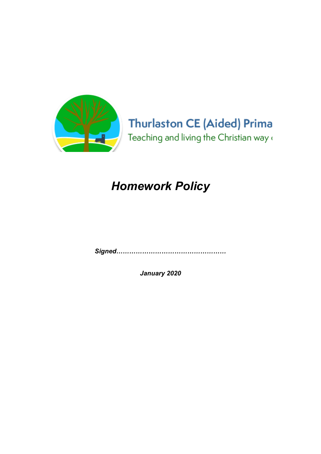

# **Thurlaston CE (Aided) Prima** Teaching and living the Christian way (

# Homework Policy

Signed……………………………………………

January 2020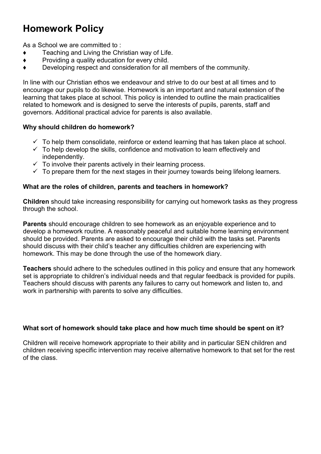## Homework Policy

As a School we are committed to:

- ♦ Teaching and Living the Christian way of Life.
- ♦ Providing a quality education for every child.
- ♦ Developing respect and consideration for all members of the community.

In line with our Christian ethos we endeavour and strive to do our best at all times and to encourage our pupils to do likewise. Homework is an important and natural extension of the learning that takes place at school. This policy is intended to outline the main practicalities related to homework and is designed to serve the interests of pupils, parents, staff and governors. Additional practical advice for parents is also available.

#### Why should children do homework?

- $\checkmark$  To help them consolidate, reinforce or extend learning that has taken place at school.
- $\checkmark$  To help develop the skills, confidence and motivation to learn effectively and independently.
- $\checkmark$  To involve their parents actively in their learning process.
- $\checkmark$  To prepare them for the next stages in their journey towards being lifelong learners.

#### What are the roles of children, parents and teachers in homework?

Children should take increasing responsibility for carrying out homework tasks as they progress through the school.

Parents should encourage children to see homework as an enjoyable experience and to develop a homework routine. A reasonably peaceful and suitable home learning environment should be provided. Parents are asked to encourage their child with the tasks set. Parents should discuss with their child's teacher any difficulties children are experiencing with homework. This may be done through the use of the homework diary.

Teachers should adhere to the schedules outlined in this policy and ensure that any homework set is appropriate to children's individual needs and that regular feedback is provided for pupils. Teachers should discuss with parents any failures to carry out homework and listen to, and work in partnership with parents to solve any difficulties.

#### What sort of homework should take place and how much time should be spent on it?

Children will receive homework appropriate to their ability and in particular SEN children and children receiving specific intervention may receive alternative homework to that set for the rest of the class.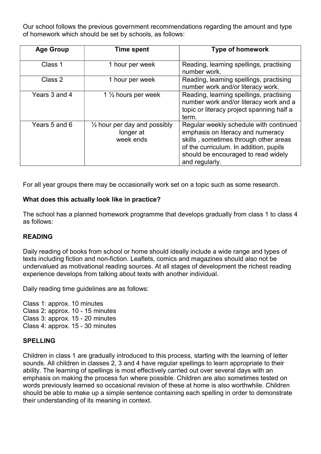Our school follows the previous government recommendations regarding the amount and type of homework which should be set by schools, as follows:

| <b>Age Group</b> | <b>Time spent</b>                                                 | <b>Type of homework</b>                                                                                                                                                                                                 |
|------------------|-------------------------------------------------------------------|-------------------------------------------------------------------------------------------------------------------------------------------------------------------------------------------------------------------------|
| Class 1          | 1 hour per week                                                   | Reading, learning spellings, practising<br>number work.                                                                                                                                                                 |
| Class 2          | 1 hour per week                                                   | Reading, learning spellings, practising<br>number work and/or literacy work.                                                                                                                                            |
| Years 3 and 4    | 1 $\frac{1}{2}$ hours per week                                    | Reading, learning spellings, practising<br>number work and/or literacy work and a<br>topic or literacy project spanning half a<br>term.                                                                                 |
| Years 5 and 6    | $\frac{1}{2}$ hour per day and possibly<br>longer at<br>week ends | Regular weekly schedule with continued<br>emphasis on literacy and numeracy<br>skills, sometimes through other areas<br>of the curriculum. In addition, pupils<br>should be encouraged to read widely<br>and regularly. |

For all year groups there may be occasionally work set on a topic such as some research.

#### What does this actually look like in practice?

The school has a planned homework programme that develops gradually from class 1 to class 4 as follows:

#### READING

Daily reading of books from school or home should ideally include a wide range and types of texts including fiction and non-fiction. Leaflets, comics and magazines should also not be undervalued as motivational reading sources. At all stages of development the richest reading experience develops from talking about texts with another individual.

Daily reading time guidelines are as follows:

Class 1: approx. 10 minutes Class 2: approx. 10 - 15 minutes Class 3: approx. 15 - 20 minutes Class 4: approx. 15 - 30 minutes

#### SPELLING

Children in class 1 are gradually introduced to this process, starting with the learning of letter sounds. All children in classes 2, 3 and 4 have regular spellings to learn appropriate to their ability. The learning of spellings is most effectively carried out over several days with an emphasis on making the process fun where possible. Children are also sometimes tested on words previously learned so occasional revision of these at home is also worthwhile. Children should be able to make up a simple sentence containing each spelling in order to demonstrate their understanding of its meaning in context.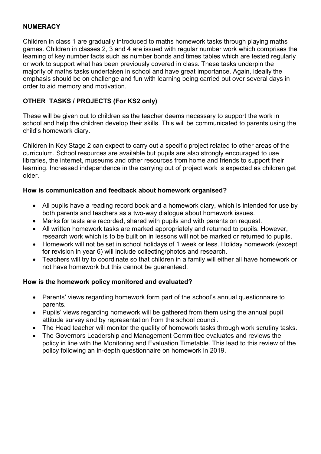#### **NUMERACY**

Children in class 1 are gradually introduced to maths homework tasks through playing maths games. Children in classes 2, 3 and 4 are issued with regular number work which comprises the learning of key number facts such as number bonds and times tables which are tested regularly or work to support what has been previously covered in class. These tasks underpin the majority of maths tasks undertaken in school and have great importance. Again, ideally the emphasis should be on challenge and fun with learning being carried out over several days in order to aid memory and motivation.

#### OTHER TASKS / PROJECTS (For KS2 only)

These will be given out to children as the teacher deems necessary to support the work in school and help the children develop their skills. This will be communicated to parents using the child's homework diary.

Children in Key Stage 2 can expect to carry out a specific project related to other areas of the curriculum. School resources are available but pupils are also strongly encouraged to use libraries, the internet, museums and other resources from home and friends to support their learning. Increased independence in the carrying out of project work is expected as children get older.

#### How is communication and feedback about homework organised?

- All pupils have a reading record book and a homework diary, which is intended for use by both parents and teachers as a two-way dialogue about homework issues.
- Marks for tests are recorded, shared with pupils and with parents on request.
- All written homework tasks are marked appropriately and returned to pupils. However, research work which is to be built on in lessons will not be marked or returned to pupils.
- Homework will not be set in school holidays of 1 week or less. Holiday homework (except for revision in year 6) will include collecting/photos and research.
- Teachers will try to coordinate so that children in a family will either all have homework or not have homework but this cannot be guaranteed.

#### How is the homework policy monitored and evaluated?

- Parents' views regarding homework form part of the school's annual questionnaire to parents.
- Pupils' views regarding homework will be gathered from them using the annual pupil attitude survey and by representation from the school council.
- The Head teacher will monitor the quality of homework tasks through work scrutiny tasks.
- The Governors Leadership and Management Committee evaluates and reviews the policy in line with the Monitoring and Evaluation Timetable. This lead to this review of the policy following an in-depth questionnaire on homework in 2019.